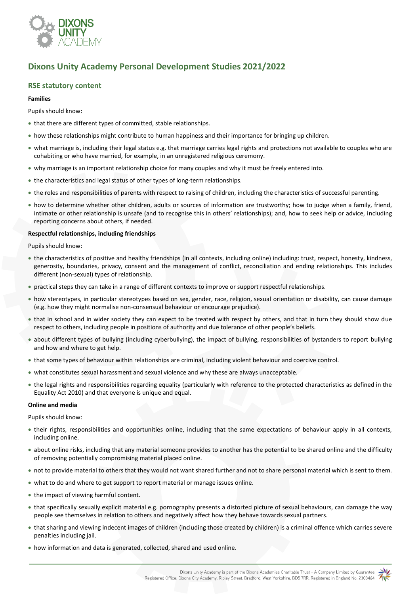

# **Dixons Unity Academy Personal Development Studies 2021/2022**

### **RSE statutory content**

#### **Families**

Pupils should know:

- that there are different types of committed, stable relationships.
- how these relationships might contribute to human happiness and their importance for bringing up children.
- what marriage is, including their legal status e.g. that marriage carries legal rights and protections not available to couples who are cohabiting or who have married, for example, in an unregistered religious ceremony.
- why marriage is an important relationship choice for many couples and why it must be freely entered into.
- the characteristics and legal status of other types of long-term relationships.
- the roles and responsibilities of parents with respect to raising of children, including the characteristics of successful parenting.
- how to determine whether other children, adults or sources of information are trustworthy; how to judge when a family, friend, intimate or other relationship is unsafe (and to recognise this in others' relationships); and, how to seek help or advice, including reporting concerns about others, if needed.

#### **Respectful relationships, including friendships**

Pupils should know:

- the characteristics of positive and healthy friendships (in all contexts, including online) including: trust, respect, honesty, kindness, generosity, boundaries, privacy, consent and the management of conflict, reconciliation and ending relationships. This includes different (non-sexual) types of relationship.
- practical steps they can take in a range of different contexts to improve or support respectful relationships.
- how stereotypes, in particular stereotypes based on sex, gender, race, religion, sexual orientation or disability, can cause damage (e.g. how they might normalise non-consensual behaviour or encourage prejudice).
- that in school and in wider society they can expect to be treated with respect by others, and that in turn they should show due respect to others, including people in positions of authority and due tolerance of other people's beliefs.
- about different types of bullying (including cyberbullying), the impact of bullying, responsibilities of bystanders to report bullying and how and where to get help.
- that some types of behaviour within relationships are criminal, including violent behaviour and coercive control.
- what constitutes sexual harassment and sexual violence and why these are always unacceptable.
- the legal rights and responsibilities regarding equality (particularly with reference to the protected characteristics as defined in the Equality Act 2010) and that everyone is unique and equal.

#### **Online and media**

Pupils should know:

- their rights, responsibilities and opportunities online, including that the same expectations of behaviour apply in all contexts, including online.
- about online risks, including that any material someone provides to another has the potential to be shared online and the difficulty of removing potentially compromising material placed online.
- not to provide material to others that they would not want shared further and not to share personal material which is sent to them.
- what to do and where to get support to report material or manage issues online.
- the impact of viewing harmful content.
- that specifically sexually explicit material e.g. pornography presents a distorted picture of sexual behaviours, can damage the way people see themselves in relation to others and negatively affect how they behave towards sexual partners.
- that sharing and viewing indecent images of children (including those created by children) is a criminal offence which carries severe penalties including jail.
- how information and data is generated, collected, shared and used online.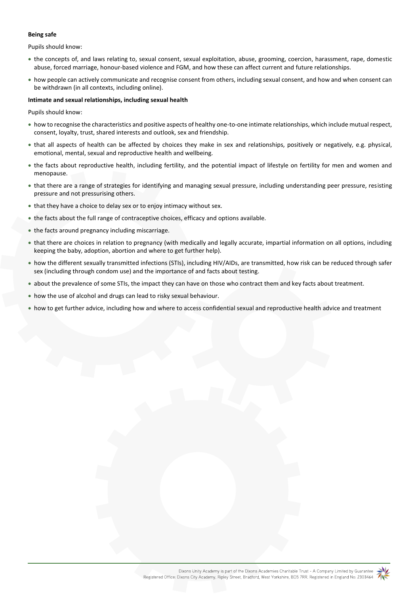#### **Being safe**

Pupils should know:

- the concepts of, and laws relating to, sexual consent, sexual exploitation, abuse, grooming, coercion, harassment, rape, domestic abuse, forced marriage, honour-based violence and FGM, and how these can affect current and future relationships.
- how people can actively communicate and recognise consent from others, including sexual consent, and how and when consent can be withdrawn (in all contexts, including online).

#### **Intimate and sexual relationships, including sexual health**

Pupils should know:

- how to recognise the characteristics and positive aspects of healthy one-to-one intimate relationships, which include mutual respect, consent, loyalty, trust, shared interests and outlook, sex and friendship.
- that all aspects of health can be affected by choices they make in sex and relationships, positively or negatively, e.g. physical, emotional, mental, sexual and reproductive health and wellbeing.
- the facts about reproductive health, including fertility, and the potential impact of lifestyle on fertility for men and women and menopause.
- that there are a range of strategies for identifying and managing sexual pressure, including understanding peer pressure, resisting pressure and not pressurising others.
- that they have a choice to delay sex or to enjoy intimacy without sex.
- the facts about the full range of contraceptive choices, efficacy and options available.
- the facts around pregnancy including miscarriage.
- that there are choices in relation to pregnancy (with medically and legally accurate, impartial information on all options, including keeping the baby, adoption, abortion and where to get further help).
- how the different sexually transmitted infections (STIs), including HIV/AIDs, are transmitted, how risk can be reduced through safer sex (including through condom use) and the importance of and facts about testing.
- about the prevalence of some STIs, the impact they can have on those who contract them and key facts about treatment.
- how the use of alcohol and drugs can lead to risky sexual behaviour.
- how to get further advice, including how and where to access confidential sexual and reproductive health advice and treatment

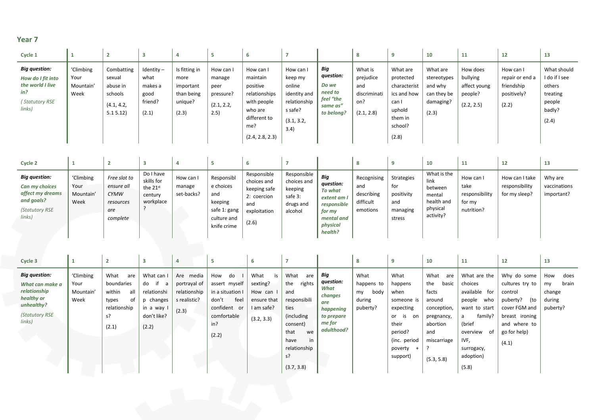| Cycle 1                                                                                          |                                        |                                                                      |                                                             |                                                                      |                                                                | b                                                                                                                      |                                                                                                 |                                                                             | 8                                                                | 9                                                                                                      | 10                                                                      | 11                                                            | 12                                                                 | 13                                                                              |
|--------------------------------------------------------------------------------------------------|----------------------------------------|----------------------------------------------------------------------|-------------------------------------------------------------|----------------------------------------------------------------------|----------------------------------------------------------------|------------------------------------------------------------------------------------------------------------------------|-------------------------------------------------------------------------------------------------|-----------------------------------------------------------------------------|------------------------------------------------------------------|--------------------------------------------------------------------------------------------------------|-------------------------------------------------------------------------|---------------------------------------------------------------|--------------------------------------------------------------------|---------------------------------------------------------------------------------|
| <b>Big question:</b><br>How do I fit into<br>the world I live<br>in?<br>(Statutory RSE<br>links) | 'Climbing<br>Your<br>Mountain'<br>Week | Combatting<br>sexual<br>abuse in<br>schools<br>(4.1, 4.2,<br>5.15.12 | $Identity -$<br>what<br>makes a<br>good<br>friend?<br>(2.1) | Is fitting in<br>more<br>important<br>than being<br>unique?<br>(2.3) | How can I<br>manage<br>peer<br>pressure?<br>(2.1, 2.2,<br>2.5) | How can I<br>maintain<br>positive<br>relationships<br>with people<br>who are<br>different to<br>me?<br>(2.4, 2.8, 2.3) | How can I<br>keep my<br>online<br>identity and<br>relationship<br>s safe?<br>(3.1, 3.2,<br>3.4) | Big<br>question:<br>Do we<br>need to<br>feel "the<br>same as"<br>to belong? | What is<br>prejudice<br>and<br>discriminati<br>on?<br>(2.1, 2.8) | What are<br>protected<br>characterist<br>ics and how<br>can I<br>uphold<br>them in<br>school?<br>(2.8) | What are<br>stereotypes<br>and why<br>can they be<br>damaging?<br>(2.3) | How does<br>bullying<br>affect young<br>people?<br>(2.2, 2.5) | How can I<br>repair or end a<br>friendship<br>positively?<br>(2.2) | What should<br>I do if I see<br>others<br>treating<br>people<br>badly?<br>(2.4) |

| Cycle 2                                                                                              |                                        |                                                                           |                                                             |                                   |                                                                                         |                                                                                           |                                                                          |                                                                                                                 |                                                           |                                                              | 10                                                                              | 11                                                          | 14                                                | $\sim$<br>15                          |
|------------------------------------------------------------------------------------------------------|----------------------------------------|---------------------------------------------------------------------------|-------------------------------------------------------------|-----------------------------------|-----------------------------------------------------------------------------------------|-------------------------------------------------------------------------------------------|--------------------------------------------------------------------------|-----------------------------------------------------------------------------------------------------------------|-----------------------------------------------------------|--------------------------------------------------------------|---------------------------------------------------------------------------------|-------------------------------------------------------------|---------------------------------------------------|---------------------------------------|
| <b>Big question:</b><br>Can my choices<br>affect my dreams<br>and goals?<br>(Statutory RSE<br>links) | 'Climbing<br>Your<br>Mountain'<br>Week | Free slot to<br>ensure all<br><b>CYMW</b><br>resources<br>are<br>complete | Do I have<br>skills for<br>the 21st<br>century<br>workplace | How can I<br>manage<br>set-backs? | Responsibl<br>e choices<br>and<br>keeping<br>safe 1: gang<br>culture and<br>knife crime | Responsible<br>choices and<br>keeping safe<br>2: coercion<br>and<br>exploitation<br>(2.6) | Responsible<br>choices and<br>keeping<br>safe 3:<br>drugs and<br>alcohol | <b>Big</b><br>question:<br>To what<br>extent am I<br>responsible<br>for my<br>mental and<br>physical<br>health? | Recognising<br>and<br>describing<br>difficult<br>emotions | Strategies<br>for<br>positivity<br>and<br>managing<br>stress | What is the<br>link<br>between<br>mental<br>health and<br>physical<br>activity? | How can I<br>take<br>responsibility<br>for my<br>nutrition? | How can I take<br>responsibility<br>for my sleep? | Why are<br>vaccinations<br>important? |

| Cycle 3                                                                                                                |                                        |                                                                                          | $\overline{\mathbf{3}}$                                                                             | u                                                                  |                                                                                                                |                                                                              |                                                                                                                                                       |                                                                                               |                                                        |                                                                                                                                 | 10                                                                                                                          | 11                                                                                                                                                                 | 12                                                                                                                                       | 13                                                         |
|------------------------------------------------------------------------------------------------------------------------|----------------------------------------|------------------------------------------------------------------------------------------|-----------------------------------------------------------------------------------------------------|--------------------------------------------------------------------|----------------------------------------------------------------------------------------------------------------|------------------------------------------------------------------------------|-------------------------------------------------------------------------------------------------------------------------------------------------------|-----------------------------------------------------------------------------------------------|--------------------------------------------------------|---------------------------------------------------------------------------------------------------------------------------------|-----------------------------------------------------------------------------------------------------------------------------|--------------------------------------------------------------------------------------------------------------------------------------------------------------------|------------------------------------------------------------------------------------------------------------------------------------------|------------------------------------------------------------|
| <b>Big question:</b><br>What can make a<br>relationship<br>healthy or<br>unhealthy?<br><b>(Statutory RSE</b><br>links) | 'Climbing<br>Your<br>Mountain'<br>Week | What<br>are<br>boundaries<br>within<br>all<br>of<br>types<br>relationship<br>s?<br>(2.1) | What can I<br>do if<br><sub>a</sub><br>relationshi<br>changes<br>in a way I<br>don't like?<br>(2.2) | Are media<br>portrayal of<br>relationship<br>s realistic?<br>(2.3) | How<br>do<br>assert myself<br>in a situation I<br>don't<br>feel<br>confident or<br>comfortable<br>in?<br>(2.2) | What<br>is<br>sexting?<br>How can<br>ensure that<br>I am safe?<br>(3.2, 3.3) | What<br>are<br>rights<br>the<br>and<br>responsibili<br>ties<br>(including<br>consent)<br>that<br>we<br>have<br>in<br>relationship<br>s?<br>(3.7, 3.8) | Big<br>question:<br>What<br>changes<br>are<br>happening<br>to prepare<br>me for<br>adulthood? | What<br>happens to<br>body<br>my<br>during<br>puberty? | What<br>happens<br>when<br>someone is<br>expecting<br>or<br>is<br>on<br>their<br>period?<br>(inc. period<br>poverty<br>support) | What<br>are<br>the<br>basic<br>facts<br>around<br>conception,<br>pregnancy,<br>abortion<br>and<br>miscarriage<br>(5.3, 5.8) | What are the<br>choices<br>available for<br>who<br>people<br>want to start<br>family?<br>a<br>(brief<br>of<br>overview<br>IVF,<br>surrogacy,<br>adoption)<br>(5.8) | Why do some<br>cultures try to<br>control<br>puberty?<br>(to<br>cover FGM and<br>breast ironing<br>and where to<br>go for help)<br>(4.1) | How<br>does<br>brain<br>my<br>change<br>during<br>puberty? |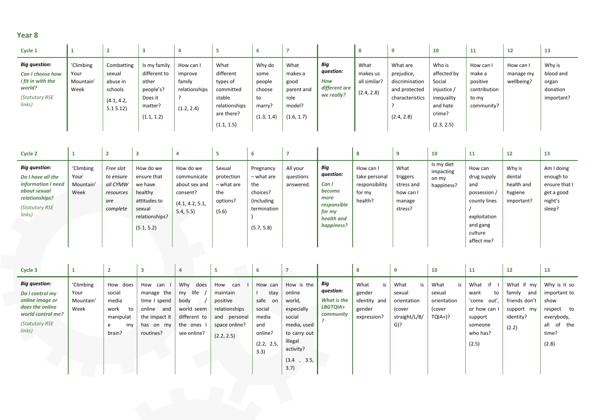| Cycle 1                                                                                             |                                        |                                                                      |                                                                                        |                                                               |                                                                                                   | b                                                                |                                                                       |                                                               | -8                                             |                                                                                            | 10                                                                                               | 11                                                                     | 12                                   | 13                                                     |
|-----------------------------------------------------------------------------------------------------|----------------------------------------|----------------------------------------------------------------------|----------------------------------------------------------------------------------------|---------------------------------------------------------------|---------------------------------------------------------------------------------------------------|------------------------------------------------------------------|-----------------------------------------------------------------------|---------------------------------------------------------------|------------------------------------------------|--------------------------------------------------------------------------------------------|--------------------------------------------------------------------------------------------------|------------------------------------------------------------------------|--------------------------------------|--------------------------------------------------------|
| <b>Big question:</b><br>Can I choose how<br>I fit in with the<br>world?<br>(Statutory RSE<br>links) | 'Climbing<br>Your<br>Mountain'<br>Week | Combatting<br>sexual<br>abuse in<br>schools<br>(4.1, 4.2,<br>5.15.12 | Is my family<br>different to<br>other<br>people's?<br>Does it<br>matter?<br>(1.1, 1.2) | How can I<br>improve<br>family<br>relationships<br>(1.2, 2.4) | What<br>different<br>types of<br>committed<br>stable<br>relationships<br>are there?<br>(1.1, 1.5) | Why do<br>some<br>people<br>choose<br>to<br>marry?<br>(1.3, 1.4) | What<br>makes a<br>good<br>parent and<br>role<br>model?<br>(1.6, 1.7) | Big<br>question:<br><b>How</b><br>different are<br>we really? | What<br>makes us<br>all similar?<br>(2.4, 2.8) | What are<br>prejudice,<br>discrimination<br>and protected<br>characteristics<br>(2.4, 2.8) | Who is<br>affected by<br>Social<br>injustice /<br>inequality<br>and hate<br>crime?<br>(2.3, 2.5) | How can I<br>make a<br>positive<br>contribution<br>to my<br>community? | How can I<br>manage my<br>wellbeing? | Why is<br>blood and<br>organ<br>donation<br>important? |

| Cycle 2                                                                                                                       |                                        |                                                                    |                                                                                                          |                                                                                       |                                                                |                                                                                       |                                    |                                                                                                  |                                                                   |                                                                  | 10                                             | 11                                                                                                                 | 12                                                      | 13                                                                          |
|-------------------------------------------------------------------------------------------------------------------------------|----------------------------------------|--------------------------------------------------------------------|----------------------------------------------------------------------------------------------------------|---------------------------------------------------------------------------------------|----------------------------------------------------------------|---------------------------------------------------------------------------------------|------------------------------------|--------------------------------------------------------------------------------------------------|-------------------------------------------------------------------|------------------------------------------------------------------|------------------------------------------------|--------------------------------------------------------------------------------------------------------------------|---------------------------------------------------------|-----------------------------------------------------------------------------|
| <b>Big question:</b><br>Do I have all the<br>information I need<br>about sexual<br>relationships?<br>(Statutory RSE<br>links) | 'Climbing<br>Your<br>Mountain'<br>Week | Free slot<br>to ensure<br>all CYMW<br>resources<br>are<br>complete | How do we<br>ensure that<br>we have<br>healthy<br>attitudes to<br>sexual<br>relationships?<br>(5.1, 5.2) | How do we<br>communicate<br>about sex and<br>consent?<br>(4.1, 4.2, 5.1,<br>5.4, 5.5) | Sexual<br>protection<br>- what are<br>the<br>options?<br>(5.6) | Pregnancy<br>- what are<br>the<br>choices?<br>(including<br>termination<br>(5.7, 5.8) | All your<br>questions<br>answered. | Big<br>question:<br>Can I<br>become<br>more<br>responsible<br>for my<br>health and<br>happiness? | How can I<br>take personal<br>responsibility<br>for my<br>health? | What<br>triggers<br>stress and<br>how can I<br>manage<br>stress? | Is my diet<br>impacting<br>on my<br>happiness? | How can<br>drug supply<br>and<br>possession /<br>county lines<br>exploitation<br>and gang<br>culture<br>affect me? | Why is<br>dental<br>health and<br>hygiene<br>important? | Am I doing<br>enough to<br>ensure that I<br>get a good<br>night's<br>sleep? |

| Cycle 3                                                                                                                        |                                        |                                                                             |                                                                                                   | 4                                                                                          |                                                                                                       |                                                                                          |                                                                                                                                        |                                                                 |                                                               |                                                                         | 10                                                       | 11                                                                                               | 12                                                                               | 13                                                                                                  |
|--------------------------------------------------------------------------------------------------------------------------------|----------------------------------------|-----------------------------------------------------------------------------|---------------------------------------------------------------------------------------------------|--------------------------------------------------------------------------------------------|-------------------------------------------------------------------------------------------------------|------------------------------------------------------------------------------------------|----------------------------------------------------------------------------------------------------------------------------------------|-----------------------------------------------------------------|---------------------------------------------------------------|-------------------------------------------------------------------------|----------------------------------------------------------|--------------------------------------------------------------------------------------------------|----------------------------------------------------------------------------------|-----------------------------------------------------------------------------------------------------|
| <b>Big question:</b><br>Do I control my<br>online image or<br>does the online<br>world control me?<br>(Statutory RSE<br>links) | 'Climbing<br>Your<br>Mountain'<br>Week | How does<br>social<br>media<br>work<br>to<br>manipulat<br>e<br>my<br>brain? | How<br>can<br>manage the<br>time I spend<br>online and<br>the impact it<br>has on my<br>routines? | Why<br>does<br>life<br>my<br>body<br>world seem<br>different to<br>the ones<br>see online? | How<br>can<br>maintain<br>positive<br>relationships<br>and<br>personal<br>space online?<br>(2.2, 2.5) | How can<br>stay<br>safe<br>on<br>social<br>media<br>and<br>online?<br>(2.2, 2.5,<br>3.3) | How is the<br>online<br>world,<br>especially<br>social<br>media, used<br>to carry out<br>illegal<br>activity?<br>(3.4)<br>3.5,<br>3.7) | Big<br>question:<br><b>What is the</b><br>LBGTQIA+<br>community | What<br>is<br>gender<br>identity and<br>gender<br>expression? | What<br>is<br>sexual<br>orientation<br>(cover<br>straight/L/B/<br>$G$ ? | What<br>is<br>sexual<br>orientation<br>(cover<br>TQIA+)? | if<br>What<br>want<br>to<br>'come out',<br>or how can<br>support<br>someone<br>who has?<br>(2.5) | What if my<br>family<br>and<br>friends don't<br>support my<br>identity?<br>(2.2) | Why is it so<br>important to<br>show<br>respect to<br>everybody,<br>of the<br>all<br>time?<br>(2.8) |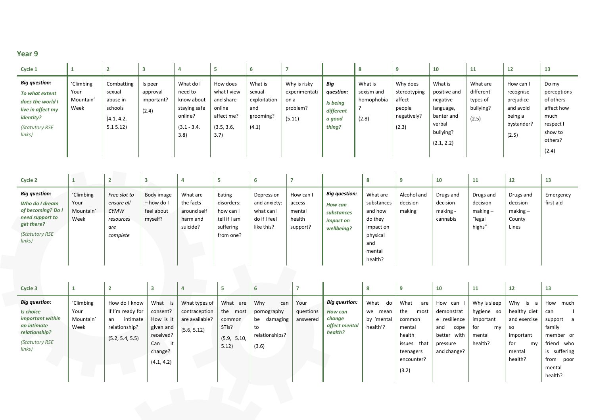| Cycle 1                                                                                                                         |                                        |                                                                      | 3                                          | Д                                                                                      | ь                                                                                  | 6                                                              | -                                                           |                                                               | 8                                            | -9                                                                   | 10                                                                                                  | 11                                                      | 12                                                                                 | 13                                                                                                  |
|---------------------------------------------------------------------------------------------------------------------------------|----------------------------------------|----------------------------------------------------------------------|--------------------------------------------|----------------------------------------------------------------------------------------|------------------------------------------------------------------------------------|----------------------------------------------------------------|-------------------------------------------------------------|---------------------------------------------------------------|----------------------------------------------|----------------------------------------------------------------------|-----------------------------------------------------------------------------------------------------|---------------------------------------------------------|------------------------------------------------------------------------------------|-----------------------------------------------------------------------------------------------------|
| <b>Big question:</b><br>To what extent<br>does the world I<br>live in affect my<br><i>identity?</i><br>(Statutory RSE<br>links) | 'Climbing<br>Your<br>Mountain'<br>Week | Combatting<br>sexual<br>abuse in<br>schools<br>(4.1, 4.2,<br>5.15.12 | Is peer<br>approval<br>important?<br>(2.4) | What do I<br>need to<br>know about<br>staying safe<br>online?<br>$(3.1 - 3.4,$<br>3.8) | How does<br>what I view<br>and share<br>online<br>affect me?<br>(3.5, 3.6,<br>3.7) | What is<br>sexual<br>exploitation<br>and<br>grooming?<br>(4.1) | Why is risky<br>experimentati<br>on a<br>problem?<br>(5.11) | Big<br>question:<br>Is being<br>different<br>a good<br>thing? | What is<br>sexism and<br>homophobia<br>(2.8) | Why does<br>stereotyping<br>affect<br>people<br>negatively?<br>(2.3) | What is<br>positive and<br>negative<br>language,<br>banter and<br>verbal<br>bullying?<br>(2.1, 2.2) | What are<br>different<br>types of<br>bullying?<br>(2.5) | How can I<br>recognise<br>prejudice<br>and avoid<br>being a<br>bystander?<br>(2.5) | Do my<br>perceptions<br>of others<br>affect how<br>much<br>respect I<br>show to<br>others?<br>(2.4) |
| Cycle 2                                                                                                                         |                                        |                                                                      | з                                          | 4                                                                                      | 5                                                                                  | 6                                                              | -                                                           |                                                               | 8                                            | 9                                                                    | 10                                                                                                  | 11                                                      | 12                                                                                 | 13                                                                                                  |

| <b>Big question:</b><br>'Climbing<br>Body image<br>Eating<br>Free slot to<br>What are<br>What are<br>Alcohol and<br>Drugs and<br>Depression<br>Emergency<br>How can I<br>Drugs and<br>Drugs and<br>decision<br>the facts<br>decision<br>decision<br>decision<br>first aid<br>Your<br>disorders:<br>– how do I<br>and anxiety:<br>substances<br>Who do I dream<br>ensure all<br>access<br><b>How can</b><br>of becoming? Do I<br>$making -$<br>feel about<br>around self<br>making<br>making -<br>$making -$<br>and how<br>Mountain'<br><b>CYMW</b><br>what can I<br>how can I<br>mental<br>substances<br>need support to<br>tell if I am<br>do if I feel<br>Week<br>myself?<br>"legal<br>health<br>cannabis<br>do they<br>County<br>harm and<br>resources<br><i>impact on</i><br>get there?<br>suicide?<br>highs"<br>like this?<br>suffering<br>support?<br>Lines<br>impact on<br>are<br>wellbeing?<br>(Statutory RSE<br>from one?<br>physical<br>complete<br>links)<br>and<br>mental<br>health? | $\sim$ yence $\sim$  | . . |  |  |  |  | -- | . . | -- | -- |
|--------------------------------------------------------------------------------------------------------------------------------------------------------------------------------------------------------------------------------------------------------------------------------------------------------------------------------------------------------------------------------------------------------------------------------------------------------------------------------------------------------------------------------------------------------------------------------------------------------------------------------------------------------------------------------------------------------------------------------------------------------------------------------------------------------------------------------------------------------------------------------------------------------------------------------------------------------------------------------------------------|----------------------|-----|--|--|--|--|----|-----|----|----|
|                                                                                                                                                                                                                                                                                                                                                                                                                                                                                                                                                                                                                                                                                                                                                                                                                                                                                                                                                                                                  | <b>Big question:</b> |     |  |  |  |  |    |     |    |    |

| <b>Big question:</b><br><b>Big question:</b><br>What is<br>Why<br>'Climbing<br>How do I know<br>What are<br>What<br>What<br>Why is a<br>What types of<br>Your<br>How can<br>Why is sleep<br>do<br>can<br>are<br>if I'm ready for<br>the<br>healthy diet<br>contraception<br>Your<br>the most<br>questions<br>hygiene so<br>consent?<br>demonstrat<br>most<br>Is choice<br>pornography<br>we mean<br>can<br><b>How can</b><br>important within<br>e resilience<br>intimate<br>are available?<br>change<br>by 'mental<br>and exercise<br>Mountain'<br>How is it<br>be damaging<br>an<br>important<br>common<br>common<br>answered<br>affect mental<br>an intimate<br>Week<br>health'?<br>relationship?<br>family<br>STI <sub>s?</sub><br>for<br>given and<br>to<br>mental<br>and<br>cope<br>my<br>so<br>(5.6, 5.12)<br>relationship?<br>health?<br>received?<br>relationships?<br>health<br>better with<br>mental<br>important<br>(5.9, 5.10,<br>(5.2, 5.4, 5.5)<br><b>(Statutory RSE</b><br>health?<br>for<br>issues that<br>Can<br>my<br>pressure<br>5.12)<br>(3.6)<br>links)<br>and change?<br>change?<br>mental<br>teenagers<br>health?<br>encounter?<br>(4.1, 4.2)<br>mental<br>(3.2) | Cycle 3 |  | 3 | 4 | 5 | 6 |  | 8 | 9 | 10 | 11 | 12 | 13                                                                                       |
|------------------------------------------------------------------------------------------------------------------------------------------------------------------------------------------------------------------------------------------------------------------------------------------------------------------------------------------------------------------------------------------------------------------------------------------------------------------------------------------------------------------------------------------------------------------------------------------------------------------------------------------------------------------------------------------------------------------------------------------------------------------------------------------------------------------------------------------------------------------------------------------------------------------------------------------------------------------------------------------------------------------------------------------------------------------------------------------------------------------------------------------------------------------------------------------|---------|--|---|---|---|---|--|---|---|----|----|----|------------------------------------------------------------------------------------------|
|                                                                                                                                                                                                                                                                                                                                                                                                                                                                                                                                                                                                                                                                                                                                                                                                                                                                                                                                                                                                                                                                                                                                                                                          |         |  |   |   |   |   |  |   |   |    |    |    | How much<br>support a<br>member or<br>friend who<br>is suffering<br>from poor<br>health? |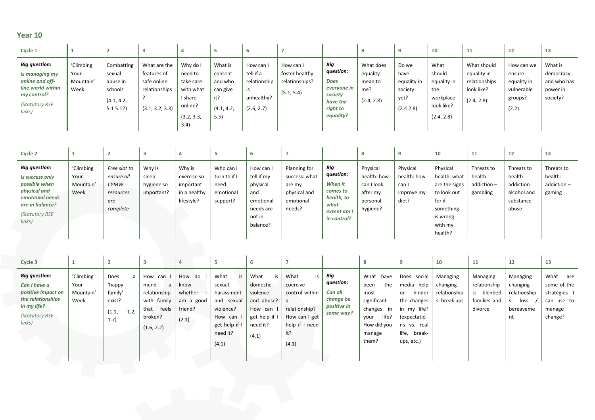| Cycle 1                                                                                                                   |                                        |                                                                      |                                                                                |                                                                                           |                                                                        | b                                                                        |                                                             |                                                                                                |                                                       |                                                              | 10                                                                            | 11                                                                      | 12                                                                    | 13                                                          |
|---------------------------------------------------------------------------------------------------------------------------|----------------------------------------|----------------------------------------------------------------------|--------------------------------------------------------------------------------|-------------------------------------------------------------------------------------------|------------------------------------------------------------------------|--------------------------------------------------------------------------|-------------------------------------------------------------|------------------------------------------------------------------------------------------------|-------------------------------------------------------|--------------------------------------------------------------|-------------------------------------------------------------------------------|-------------------------------------------------------------------------|-----------------------------------------------------------------------|-------------------------------------------------------------|
| <b>Big question:</b><br>Is managing my<br>online and off-<br>line world within<br>my control?<br>(Statutory RSE<br>links) | 'Climbing<br>Your<br>Mountain'<br>Week | Combatting<br>sexual<br>abuse in<br>schools<br>(4.1, 4.2,<br>5.15.12 | What are the<br>features of<br>safe online<br>relationships<br>(3.1, 3.2, 3.3) | Why do I<br>need to<br>take care<br>with what<br>I share<br>online?<br>(3.2, 3.3,<br>3.4) | What is<br>consent<br>and who<br>can give<br>it?<br>(4.1, 4.2,<br>5.5) | How can I<br>tell if a<br>relationship<br>is<br>unhealthy?<br>(2.6, 2.7) | How can I<br>foster healthy<br>relationships?<br>(5.1, 5.4) | Big<br>question:<br><b>Does</b><br>everyone in<br>society<br>have the<br>right to<br>equality? | What does<br>equality<br>mean to<br>me?<br>(2.4, 2.8) | Do we<br>have<br>equality in<br>society<br>yet?<br>(2.4 2.8) | What<br>should<br>equality in<br>the<br>workplace<br>look like?<br>(2.4, 2.8) | What should<br>equality in<br>relationships<br>look like?<br>(2.4, 2.8) | How can we<br>ensure<br>equality in<br>vulnerable<br>groups?<br>(2.2) | What is<br>democracy<br>and who has<br>power in<br>society? |

| Cycle 2                                                                                                                                    |                                        |                                                                           |                                             |                                                                  |                                                            |                                                                                          |                                                                                |                                                                                           |                                                                           |                                                         | 10                                                                                                                | 11                                              | 12                                                                       | 13                                            |
|--------------------------------------------------------------------------------------------------------------------------------------------|----------------------------------------|---------------------------------------------------------------------------|---------------------------------------------|------------------------------------------------------------------|------------------------------------------------------------|------------------------------------------------------------------------------------------|--------------------------------------------------------------------------------|-------------------------------------------------------------------------------------------|---------------------------------------------------------------------------|---------------------------------------------------------|-------------------------------------------------------------------------------------------------------------------|-------------------------------------------------|--------------------------------------------------------------------------|-----------------------------------------------|
| <b>Big question:</b><br>Is success only<br>possible when<br>physical and<br>emotional needs<br>are in balance?<br>(Statutory RSE<br>links) | 'Climbing<br>Your<br>Mountain'<br>Week | Free slot to<br>ensure all<br><b>CYMW</b><br>resources<br>are<br>complete | Why is<br>sleep<br>hygiene so<br>important? | Why is<br>exercise so<br>important<br>in a healthy<br>lifestyle? | Who can I<br>turn to if I<br>need<br>emotional<br>support? | How can<br>tell if my<br>physical<br>and<br>emotional<br>needs are<br>not in<br>balance? | Planning for<br>success: what<br>are my<br>physical and<br>emotional<br>needs? | Big<br>question:<br>When it<br>comes to<br>health, to<br>what<br>extent am<br>in control? | Physical<br>health: how<br>can I look<br>after my<br>personal<br>hygiene? | Physical<br>health: how<br>can I<br>improve my<br>diet? | Physical<br>health: what<br>are the signs<br>to look out<br>for if<br>something<br>is wrong<br>with my<br>health? | Threats to<br>health:<br>addiction-<br>gambling | Threats to<br>health:<br>addiction-<br>alcohol and<br>substance<br>abuse | Threats to<br>health:<br>addiction-<br>gaming |

| Cycle 3                                                                                                                           |                                        |                                                                   |                                                                                               |                                                            |                                                                                                        |    |                                                                                                 |                                                                                                                   |                                                                      | 8                                                                                                                |                                                                                                                                     | 10                                                   | 11                                                                | 12                                                              | 13                                                                          |
|-----------------------------------------------------------------------------------------------------------------------------------|----------------------------------------|-------------------------------------------------------------------|-----------------------------------------------------------------------------------------------|------------------------------------------------------------|--------------------------------------------------------------------------------------------------------|----|-------------------------------------------------------------------------------------------------|-------------------------------------------------------------------------------------------------------------------|----------------------------------------------------------------------|------------------------------------------------------------------------------------------------------------------|-------------------------------------------------------------------------------------------------------------------------------------|------------------------------------------------------|-------------------------------------------------------------------|-----------------------------------------------------------------|-----------------------------------------------------------------------------|
| <b>Big question:</b><br>Can I have a<br>positive impact on<br>the relationships<br>in my life?<br><b>(Statutory RSE</b><br>links) | 'Climbing<br>Your<br>Mountain'<br>Week | Does<br>a<br>'happy<br>family'<br>exist?<br>(1.1,<br>1.2,<br>1.7) | How can<br>a<br>mend<br>relationship<br>with family<br>feels<br>that<br>broken?<br>(1.6, 2.2) | How do<br>know<br>whether<br>am a good<br>friend?<br>(2.1) | What<br>sexual<br>harassment<br>and sexual<br>violence?<br>How can<br>get help if<br>need it?<br>(4.1) | is | What<br>is<br>domestic<br>violence<br>and abuse?<br>How can<br>get help if<br>need it?<br>(4.1) | What<br>is<br>coercive<br>control within<br>a<br>relationship?<br>How can I get<br>help if I need<br>it?<br>(4.1) | Big<br>question:<br>Can all<br>change be<br>positive in<br>some way? | What have<br>the<br>been<br>most<br>significant<br>changes in<br>life?<br>your<br>How did you<br>manage<br>them? | Does social<br>media help<br>hinder<br>or<br>the changes<br>in my life?<br>(expectatio<br>ns vs. real<br>life, break-<br>ups, etc.) | Managing<br>changing<br>relationship<br>s: break ups | Managing<br>relationship<br>s: blended<br>families and<br>divorce | Managing<br>changing<br>relationship<br>loss<br>bereaveme<br>nt | What<br>are<br>some of the<br>strategies<br>can use to<br>manage<br>change? |